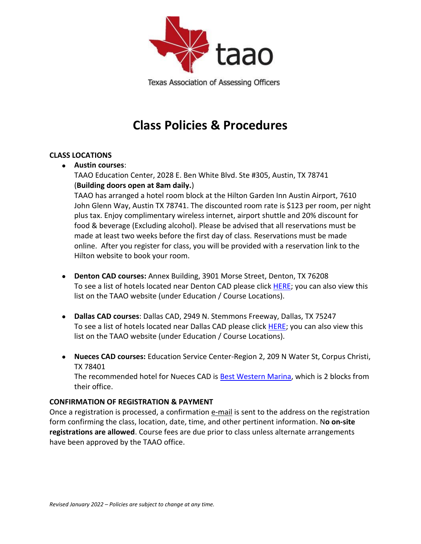

Texas Association of Assessing Officers

# **Class Policies & Procedures**

## **CLASS LOCATIONS**

• **Austin courses**:

TAAO Education Center, 2028 E. Ben White Blvd. Ste #305, Austin, TX 78741 (**Building doors open at 8am daily.**)

TAAO has arranged a hotel room block at the Hilton Garden Inn Austin Airport, 7610 John Glenn Way, Austin TX 78741. The discounted room rate is \$123 per room, per night plus tax. Enjoy complimentary wireless internet, airport shuttle and 20% discount for food & beverage (Excluding alcohol). Please be advised that all reservations must be made at least two weeks before the first day of class. Reservations must be made online. After you register for class, you will be provided with a reservation link to the Hilton website to book your room.

- **Denton CAD courses:** Annex Building, 3901 Morse Street, Denton, TX 76208 To see a list of hotels located near Denton CAD please click [HERE;](https://cdn.ymaws.com/www.taao.org/resource/resmgr/educationfiles/denton_cad_hotels.pdf) you can also view this list on the TAAO website (under Education / Course Locations).
- **Dallas CAD courses**: Dallas CAD, 2949 N. Stemmons Freeway, Dallas, TX 75247 To see a list of hotels located near Dallas CAD please click [HERE;](https://cdn.ymaws.com/www.taao.org/resource/resmgr/EducationFiles/Dallas_CAD_Hotels.pdf) you can also view this list on the TAAO website (under Education / Course Locations).
- **Nueces CAD courses:** Education Service Center-Region 2, 209 N Water St, Corpus Christi, TX 78401

The recommended hotel for Nueces CAD is [Best Western Marina,](http://www.marinagrandhotel.net/) which is 2 blocks from their office.

## **CONFIRMATION OF REGISTRATION & PAYMENT**

Once a registration is processed, a confirmation e-mail is sent to the address on the registration form confirming the class, location, date, time, and other pertinent information. N**o on-site registrations are allowed**. Course fees are due prior to class unless alternate arrangements have been approved by the TAAO office.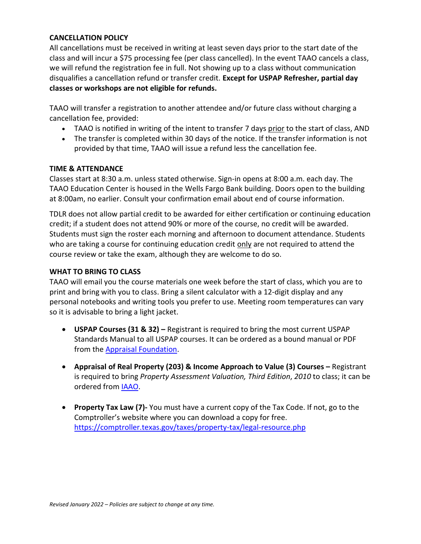## **CANCELLATION POLICY**

All cancellations must be received in writing at least seven days prior to the start date of the class and will incur a \$75 processing fee (per class cancelled). In the event TAAO cancels a class, we will refund the registration fee in full. Not showing up to a class without communication disqualifies a cancellation refund or transfer credit. **Except for USPAP Refresher, partial day classes or workshops are not eligible for refunds.**

TAAO will transfer a registration to another attendee and/or future class without charging a cancellation fee, provided:

- TAAO is notified in writing of the intent to transfer 7 days prior to the start of class, AND
- The transfer is completed within 30 days of the notice. If the transfer information is not provided by that time, TAAO will issue a refund less the cancellation fee.

## **TIME & ATTENDANCE**

Classes start at 8:30 a.m. unless stated otherwise. Sign-in opens at 8:00 a.m. each day. The TAAO Education Center is housed in the Wells Fargo Bank building. Doors open to the building at 8:00am, no earlier. Consult your confirmation email about end of course information.

TDLR does not allow partial credit to be awarded for either certification or continuing education credit; if a student does not attend 90% or more of the course, no credit will be awarded. Students must sign the roster each morning and afternoon to document attendance. Students who are taking a course for continuing education credit only are not required to attend the course review or take the exam, although they are welcome to do so.

## **WHAT TO BRING TO CLASS**

TAAO will email you the course materials one week before the start of class, which you are to print and bring with you to class. Bring a silent calculator with a 12-digit display and any personal notebooks and writing tools you prefer to use. Meeting room temperatures can vary so it is advisable to bring a light jacket.

- **USPAP Courses (31 & 32) –** Registrant is required to bring the most current USPAP Standards Manual to all USPAP courses. It can be ordered as a bound manual or PDF from the [Appraisal Foundation.](https://www.appraisalfoundation.org/imis/itemDetail?iProductCode=405&Category=PUB)
- **Appraisal of Real Property (203) & Income Approach to Value (3) Courses –** Registrant is required to bring *Property Assessment Valuation, Third Edition*, *2010* to class; it can be ordered from [IAAO.](https://www.iaao.org/store/detail.aspx?id=BK0097)
- **Property Tax Law (7)-** You must have a current copy of the Tax Code. If not, go to the Comptroller's website where you can download a copy for free. <https://comptroller.texas.gov/taxes/property-tax/legal-resource.php>